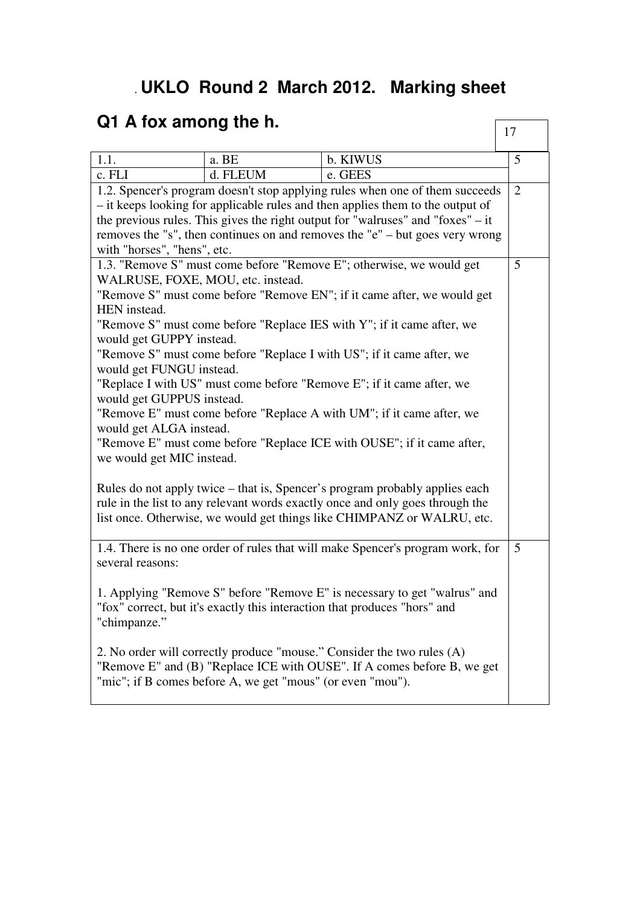## . **UKLO Round 2 March 2012. Marking sheet**

## **Q1 A fox among the h.**

| Q1 A fox among the h.                                                                                                                                                                                                                  |          |                                                                                                                                                                                                                 | 17 |  |
|----------------------------------------------------------------------------------------------------------------------------------------------------------------------------------------------------------------------------------------|----------|-----------------------------------------------------------------------------------------------------------------------------------------------------------------------------------------------------------------|----|--|
| 1.1.                                                                                                                                                                                                                                   | a. BE    | b. KIWUS                                                                                                                                                                                                        | 5  |  |
| c. FLI                                                                                                                                                                                                                                 | d. FLEUM | e. GEES                                                                                                                                                                                                         |    |  |
| 1.2. Spencer's program doesn't stop applying rules when one of them succeeds                                                                                                                                                           |          |                                                                                                                                                                                                                 |    |  |
| - it keeps looking for applicable rules and then applies them to the output of                                                                                                                                                         |          |                                                                                                                                                                                                                 |    |  |
| the previous rules. This gives the right output for "walruses" and "foxes" $-$ it                                                                                                                                                      |          |                                                                                                                                                                                                                 |    |  |
| removes the "s", then continues on and removes the "e" $-$ but goes very wrong                                                                                                                                                         |          |                                                                                                                                                                                                                 |    |  |
| with "horses", "hens", etc.                                                                                                                                                                                                            |          |                                                                                                                                                                                                                 |    |  |
|                                                                                                                                                                                                                                        |          | 1.3. "Remove S" must come before "Remove E"; otherwise, we would get                                                                                                                                            | 5  |  |
| WALRUSE, FOXE, MOU, etc. instead.                                                                                                                                                                                                      |          |                                                                                                                                                                                                                 |    |  |
|                                                                                                                                                                                                                                        |          | "Remove S" must come before "Remove EN"; if it came after, we would get                                                                                                                                         |    |  |
| HEN instead.                                                                                                                                                                                                                           |          |                                                                                                                                                                                                                 |    |  |
|                                                                                                                                                                                                                                        |          | "Remove S" must come before "Replace IES with Y"; if it came after, we                                                                                                                                          |    |  |
| would get GUPPY instead.                                                                                                                                                                                                               |          |                                                                                                                                                                                                                 |    |  |
|                                                                                                                                                                                                                                        |          | "Remove S" must come before "Replace I with US"; if it came after, we                                                                                                                                           |    |  |
| would get FUNGU instead.                                                                                                                                                                                                               |          |                                                                                                                                                                                                                 |    |  |
|                                                                                                                                                                                                                                        |          | "Replace I with US" must come before "Remove E"; if it came after, we                                                                                                                                           |    |  |
| would get GUPPUS instead.                                                                                                                                                                                                              |          |                                                                                                                                                                                                                 |    |  |
| "Remove E" must come before "Replace A with UM"; if it came after, we                                                                                                                                                                  |          |                                                                                                                                                                                                                 |    |  |
| would get ALGA instead.                                                                                                                                                                                                                |          |                                                                                                                                                                                                                 |    |  |
| "Remove E" must come before "Replace ICE with OUSE"; if it came after,<br>we would get MIC instead.                                                                                                                                    |          |                                                                                                                                                                                                                 |    |  |
| Rules do not apply twice – that is, Spencer's program probably applies each<br>rule in the list to any relevant words exactly once and only goes through the<br>list once. Otherwise, we would get things like CHIMPANZ or WALRU, etc. |          |                                                                                                                                                                                                                 |    |  |
| several reasons:                                                                                                                                                                                                                       |          | 1.4. There is no one order of rules that will make Spencer's program work, for                                                                                                                                  | 5  |  |
| 1. Applying "Remove S" before "Remove E" is necessary to get "walrus" and<br>"fox" correct, but it's exactly this interaction that produces "hors" and<br>"chimpanze."                                                                 |          |                                                                                                                                                                                                                 |    |  |
|                                                                                                                                                                                                                                        |          | 2. No order will correctly produce "mouse." Consider the two rules (A)<br>"Remove E" and (B) "Replace ICE with OUSE". If A comes before B, we get<br>"mic"; if B comes before A, we get "mous" (or even "mou"). |    |  |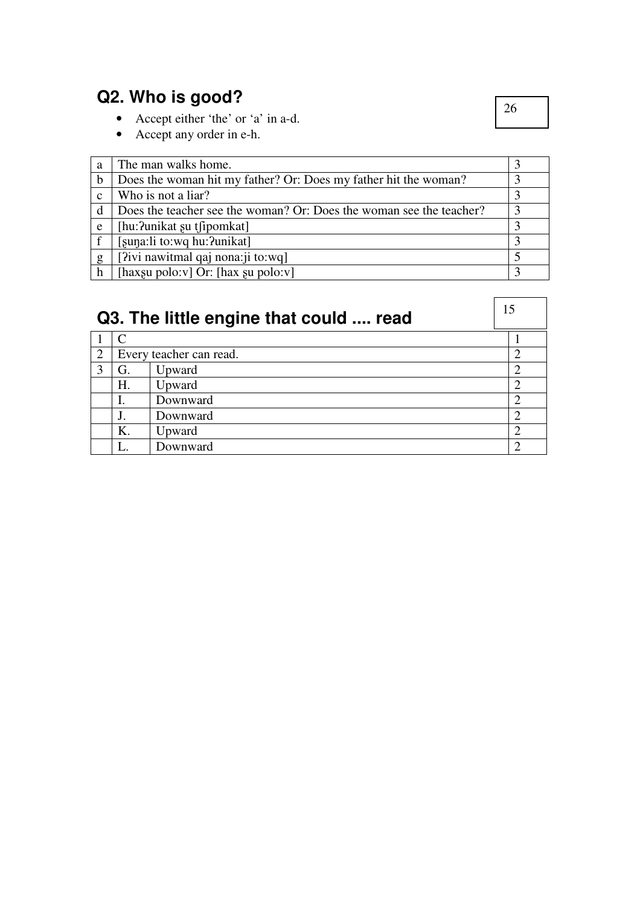## **Q2. Who is good?**

- Accept either 'the' or 'a' in a-d.
- Accept any order in e-h.

| a            | The man walks home.                                                 |   |
|--------------|---------------------------------------------------------------------|---|
| b            | Does the woman hit my father? Or: Does my father hit the woman?     |   |
| $\mathbf{c}$ | Who is not a liar?                                                  |   |
| d            | Does the teacher see the woman? Or: Does the woman see the teacher? | 2 |
| e            | [hu:?unikat su tfipomkat]                                           |   |
|              | [suna:li to:wq hu: ?unikat]                                         |   |
| g            | [?ivi nawitmal qaj nona: ji to: wq]                                 |   |
| h            | [haxgu polo:v] Or: [hax gu polo:v]                                  |   |

| Q3. The little engine that could  read |               |                         |                |
|----------------------------------------|---------------|-------------------------|----------------|
|                                        | $\mathcal{C}$ |                         |                |
| 2                                      |               | Every teacher can read. | $\overline{2}$ |
| 3                                      | G.            | Upward                  |                |
|                                        | H.            | Upward                  | $\overline{2}$ |
|                                        |               | Downward                | ി              |
|                                        |               | Downward                |                |
|                                        | Κ.            | Upward                  | ി              |
|                                        |               | Downward                |                |

26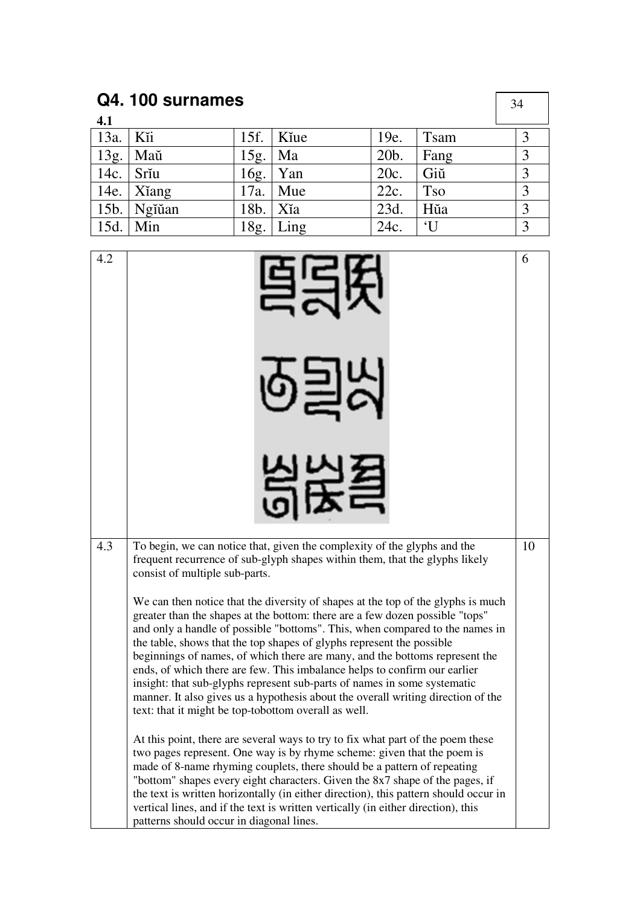| Q4.100 surnames |              |      |             |      |              | 34 |  |
|-----------------|--------------|------|-------------|------|--------------|----|--|
| 4.1             |              |      |             |      |              |    |  |
| 13a.            | Kĭi          |      | 15f.   Kiue | 19e. | <b>Tsam</b>  | 3  |  |
| 13g.            | Maŭ          | 15g. | Ma          | 20b. | Fang         | 3  |  |
| $14c.$ Sriu     |              |      | $16g.$ Yan  | 20c. | Giŭ          | 3  |  |
|                 | 14e.   Xiang | 17a. | Mue         | 22c. | <b>Tso</b>   | 3  |  |
|                 | 15b. Ngiuan  | 18b. | Xĭa         | 23d. | Hŭa          | 3  |  |
| 15d.            | Min          | 18g. | Ling        | 24c. | $\mathbf{I}$ | 3  |  |

| 4.2 |                                                                                                                                                                                                                                                                                                                                                                                                                                                                                                                                                                                                                                                                                                               | 6 |  |  |
|-----|---------------------------------------------------------------------------------------------------------------------------------------------------------------------------------------------------------------------------------------------------------------------------------------------------------------------------------------------------------------------------------------------------------------------------------------------------------------------------------------------------------------------------------------------------------------------------------------------------------------------------------------------------------------------------------------------------------------|---|--|--|
|     |                                                                                                                                                                                                                                                                                                                                                                                                                                                                                                                                                                                                                                                                                                               |   |  |  |
|     |                                                                                                                                                                                                                                                                                                                                                                                                                                                                                                                                                                                                                                                                                                               |   |  |  |
| 4.3 | To begin, we can notice that, given the complexity of the glyphs and the<br>10<br>frequent recurrence of sub-glyph shapes within them, that the glyphs likely<br>consist of multiple sub-parts.                                                                                                                                                                                                                                                                                                                                                                                                                                                                                                               |   |  |  |
|     | We can then notice that the diversity of shapes at the top of the glyphs is much<br>greater than the shapes at the bottom: there are a few dozen possible "tops"<br>and only a handle of possible "bottoms". This, when compared to the names in<br>the table, shows that the top shapes of glyphs represent the possible<br>beginnings of names, of which there are many, and the bottoms represent the<br>ends, of which there are few. This imbalance helps to confirm our earlier<br>insight: that sub-glyphs represent sub-parts of names in some systematic<br>manner. It also gives us a hypothesis about the overall writing direction of the<br>text: that it might be top-tobottom overall as well. |   |  |  |
|     | At this point, there are several ways to try to fix what part of the poem these<br>two pages represent. One way is by rhyme scheme: given that the poem is<br>made of 8-name rhyming couplets, there should be a pattern of repeating<br>"bottom" shapes every eight characters. Given the 8x7 shape of the pages, if<br>the text is written horizontally (in either direction), this pattern should occur in<br>vertical lines, and if the text is written vertically (in either direction), this<br>patterns should occur in diagonal lines.                                                                                                                                                                |   |  |  |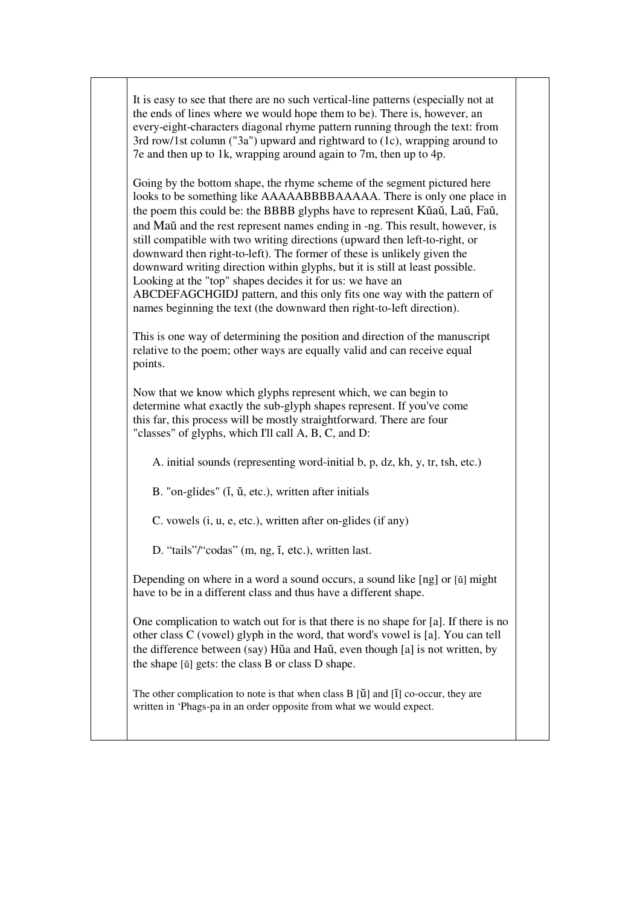It is easy to see that there are no such vertical-line patterns (especially not at the ends of lines where we would hope them to be). There is, however, an every-eight-characters diagonal rhyme pattern running through the text: from 3rd row/1st column ("3a") upward and rightward to (1c), wrapping around to 7e and then up to 1k, wrapping around again to 7m, then up to 4p.

Going by the bottom shape, the rhyme scheme of the segment pictured here looks to be something like AAAAABBBBAAAAA. There is only one place in the poem this could be: the BBBB glyphs have to represent Kŭaŭ, Laŭ, Faŭ, and Maŭ and the rest represent names ending in -ng. This result, however, is still compatible with two writing directions (upward then left-to-right, or downward then right-to-left). The former of these is unlikely given the downward writing direction within glyphs, but it is still at least possible. Looking at the "top" shapes decides it for us: we have an ABCDEFAGCHGIDJ pattern, and this only fits one way with the pattern of names beginning the text (the downward then right-to-left direction).

This is one way of determining the position and direction of the manuscript relative to the poem; other ways are equally valid and can receive equal points.

Now that we know which glyphs represent which, we can begin to determine what exactly the sub-glyph shapes represent. If you've come this far, this process will be mostly straightforward. There are four "classes" of glyphs, which I'll call A, B, C, and D:

A. initial sounds (representing word-initial b, p, dz, kh, y, tr, tsh, etc.)

B. "on-glides" ( $\tilde{u}$ ,  $\tilde{u}$ , etc.), written after initials

C. vowels (i, u, e, etc.), written after on-glides (if any)

D. "tails"/"codas" (m, ng, ĭ, etc.), written last.

Depending on where in a word a sound occurs, a sound like [ng] or [ŭ] might have to be in a different class and thus have a different shape.

One complication to watch out for is that there is no shape for [a]. If there is no other class C (vowel) glyph in the word, that word's vowel is [a]. You can tell the difference between (say) Hŭa and Haŭ, even though [a] is not written, by the shape [ŭ] gets: the class B or class D shape.

The other complication to note is that when class B [ŭ] and [ĭ] co-occur, they are written in 'Phags-pa in an order opposite from what we would expect.